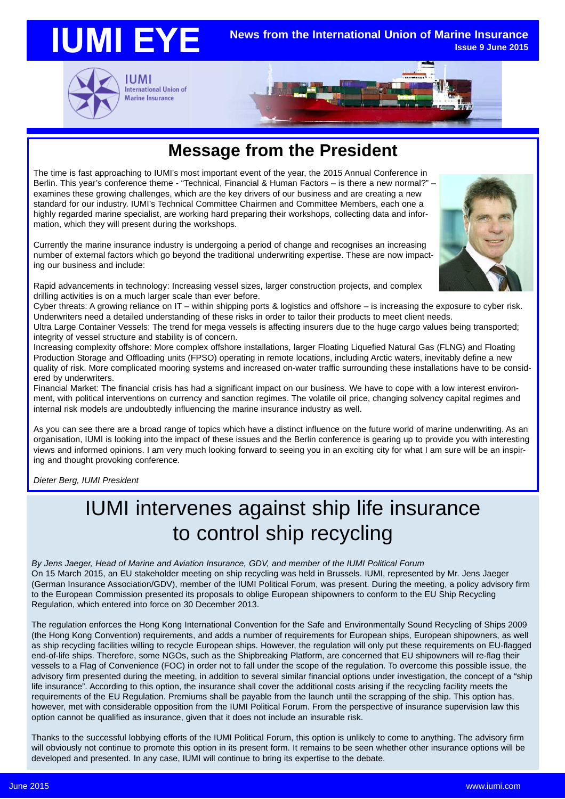

### **Message from the President**

The time is fast approaching to IUMI's most important event of the year, the 2015 Annual Conference in Berlin. This year's conference theme - "Technical, Financial & Human Factors – is there a new normal?" – examines these growing challenges, which are the key drivers of our business and are creating a new standard for our industry. IUMI's Technical Committee Chairmen and Committee Members, each one a highly regarded marine specialist, are working hard preparing their workshops, collecting data and information, which they will present during the workshops.

Currently the marine insurance industry is undergoing a period of change and recognises an increasing number of external factors which go beyond the traditional underwriting expertise. These are now impacting our business and include:

Rapid advancements in technology: Increasing vessel sizes, larger construction projects, and complex drilling activities is on a much larger scale than ever before.

Cyber threats: A growing reliance on IT – within shipping ports & logistics and offshore – is increasing the exposure to cyber risk. Underwriters need a detailed understanding of these risks in order to tailor their products to meet client needs.

Ultra Large Container Vessels: The trend for mega vessels is affecting insurers due to the huge cargo values being transported; integrity of vessel structure and stability is of concern.

Increasing complexity offshore: More complex offshore installations, larger Floating Liquefied Natural Gas (FLNG) and Floating Production Storage and Offloading units (FPSO) operating in remote locations, including Arctic waters, inevitably define a new quality of risk. More complicated mooring systems and increased on-water traffic surrounding these installations have to be considered by underwriters.

Financial Market: The financial crisis has had a significant impact on our business. We have to cope with a low interest environment, with political interventions on currency and sanction regimes. The volatile oil price, changing solvency capital regimes and internal risk models are undoubtedly influencing the marine insurance industry as well.

As you can see there are a broad range of topics which have a distinct influence on the future world of marine underwriting. As an organisation, IUMI is looking into the impact of these issues and the Berlin conference is gearing up to provide you with interesting views and informed opinions. I am very much looking forward to seeing you in an exciting city for what I am sure will be an inspiring and thought provoking conference.

*Dieter Berg, IUMI President*

## IUMI intervenes against ship life insurance to control ship recycling

*By Jens Jaeger, Head of Marine and Aviation Insurance, GDV, and member of the IUMI Political Forum* On 15 March 2015, an EU stakeholder meeting on ship recycling was held in Brussels. IUMI, represented by Mr. Jens Jaeger (German Insurance Association/GDV), member of the IUMI Political Forum, was present. During the meeting, a policy advisory firm to the European Commission presented its proposals to oblige European shipowners to conform to the EU Ship Recycling Regulation, which entered into force on 30 December 2013.

The regulation enforces the Hong Kong International Convention for the Safe and Environmentally Sound Recycling of Ships 2009 (the Hong Kong Convention) requirements, and adds a number of requirements for European ships, European shipowners, as well as ship recycling facilities willing to recycle European ships. However, the regulation will only put these requirements on EU-flagged end-of-life ships. Therefore, some NGOs, such as the Shipbreaking Platform, are concerned that EU shipowners will re-flag their vessels to a Flag of Convenience (FOC) in order not to fall under the scope of the regulation. To overcome this possible issue, the advisory firm presented during the meeting, in addition to several similar financial options under investigation, the concept of a "ship life insurance". According to this option, the insurance shall cover the additional costs arising if the recycling facility meets the requirements of the EU Regulation. Premiums shall be payable from the launch until the scrapping of the ship. This option has, however, met with considerable opposition from the IUMI Political Forum. From the perspective of insurance supervision law this option cannot be qualified as insurance, given that it does not include an insurable risk.

Thanks to the successful lobbying efforts of the IUMI Political Forum, this option is unlikely to come to anything. The advisory firm will obviously not continue to promote this option in its present form. It remains to be seen whether other insurance options will be developed and presented. In any case, IUMI will continue to bring its expertise to the debate.

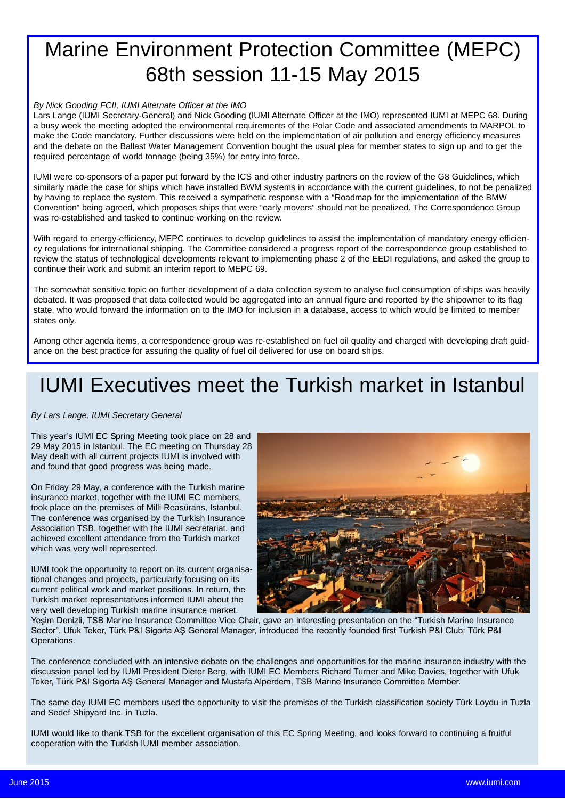## Marine Environment Protection Committee (MEPC) 68th session 11-15 May 2015

#### *By Nick Gooding FCII, IUMI Alternate Officer at the IMO*

Lars Lange (IUMI Secretary-General) and Nick Gooding (IUMI Alternate Officer at the IMO) represented IUMI at MEPC 68. During a busy week the meeting adopted the environmental requirements of the Polar Code and associated amendments to MARPOL to make the Code mandatory. Further discussions were held on the implementation of air pollution and energy efficiency measures and the debate on the Ballast Water Management Convention bought the usual plea for member states to sign up and to get the required percentage of world tonnage (being 35%) for entry into force.

IUMI were co-sponsors of a paper put forward by the ICS and other industry partners on the review of the G8 Guidelines, which similarly made the case for ships which have installed BWM systems in accordance with the current guidelines, to not be penalized by having to replace the system. This received a sympathetic response with a "Roadmap for the implementation of the BMW Convention" being agreed, which proposes ships that were "early movers" should not be penalized. The Correspondence Group was re-established and tasked to continue working on the review.

With regard to energy-efficiency, MEPC continues to develop guidelines to assist the implementation of mandatory energy efficiency regulations for international shipping. The Committee considered a progress report of the correspondence group established to review the status of technological developments relevant to implementing phase 2 of the EEDI regulations, and asked the group to continue their work and submit an interim report to MEPC 69.

The somewhat sensitive topic on further development of a data collection system to analyse fuel consumption of ships was heavily debated. It was proposed that data collected would be aggregated into an annual figure and reported by the shipowner to its flag state, who would forward the information on to the IMO for inclusion in a database, access to which would be limited to member states only.

Among other agenda items, a correspondence group was re-established on fuel oil quality and charged with developing draft guidance on the best practice for assuring the quality of fuel oil delivered for use on board ships.

## IUMI Executives meet the Turkish market in Istanbul

#### *By Lars Lange, IUMI Secretary General*

This year's IUMI EC Spring Meeting took place on 28 and 29 May 2015 in Istanbul. The EC meeting on Thursday 28 May dealt with all current projects IUMI is involved with and found that good progress was being made.

On Friday 29 May, a conference with the Turkish marine insurance market, together with the IUMI EC members, took place on the premises of Milli Reasürans, Istanbul. The conference was organised by the Turkish Insurance Association TSB, together with the IUMI secretariat, and achieved excellent attendance from the Turkish market which was very well represented.

IUMI took the opportunity to report on its current organisational changes and projects, particularly focusing on its current political work and market positions. In return, the Turkish market representatives informed IUMI about the very well developing Turkish marine insurance market.



Yeşim Denizli, TSB Marine Insurance Committee Vice Chair, gave an interesting presentation on the "Turkish Marine Insurance Sector". Ufuk Teker, Türk P&I Sigorta AŞ General Manager, introduced the recently founded first Turkish P&I Club: Türk P&I Operations.

The conference concluded with an intensive debate on the challenges and opportunities for the marine insurance industry with the discussion panel led by IUMI President Dieter Berg, with IUMI EC Members Richard Turner and Mike Davies, together with Ufuk Teker, Türk P&I Sigorta AŞ General Manager and Mustafa Alperdem, TSB Marine Insurance Committee Member.

The same day IUMI EC members used the opportunity to visit the premises of the Turkish classification society Türk Loydu in Tuzla and Sedef Shipyard Inc. in Tuzla.

IUMI would like to thank TSB for the excellent organisation of this EC Spring Meeting, and looks forward to continuing a fruitful cooperation with the Turkish IUMI member association.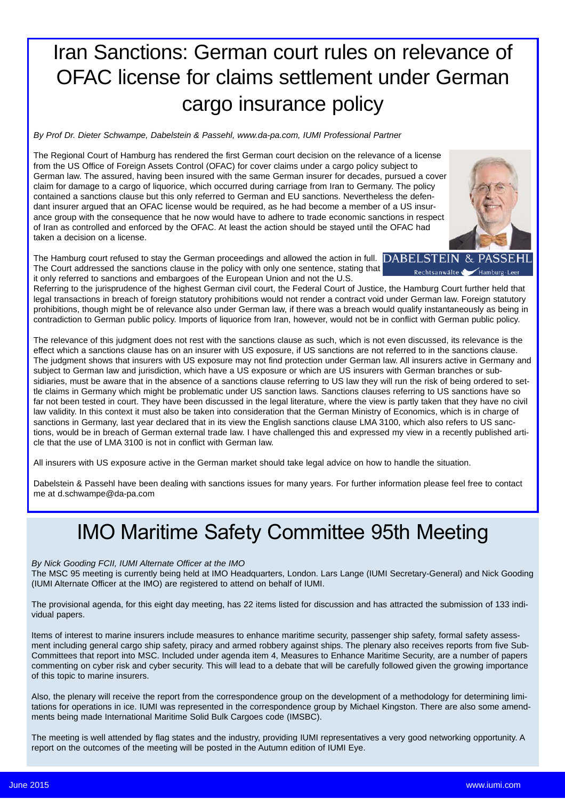## Iran Sanctions: German court rules on relevance of OFAC license for claims settlement under German cargo insurance policy

*By Prof Dr. Dieter Schwampe, Dabelstein & Passehl, www.da-pa.com, IUMI Professional Partner*

The Regional Court of Hamburg has rendered the first German court decision on the relevance of a license from the US Office of Foreign Assets Control (OFAC) for cover claims under a cargo policy subject to German law. The assured, having been insured with the same German insurer for decades, pursued a cover claim for damage to a cargo of liquorice, which occurred during carriage from Iran to Germany. The policy contained a sanctions clause but this only referred to German and EU sanctions. Nevertheless the defendant insurer argued that an OFAC license would be required, as he had become a member of a US insurance group with the consequence that he now would have to adhere to trade economic sanctions in respect of Iran as controlled and enforced by the OFAC. At least the action should be stayed until the OFAC had taken a decision on a license.

The Hamburg court refused to stay the German proceedings and allowed the action in full. **DABELST** The Court addressed the sanctions clause in the policy with only one sentence, stating that it only referred to sanctions and embargoes of the European Union and not the U.S.

Referring to the jurisprudence of the highest German civil court, the Federal Court of Justice, the Hamburg Court further held that legal transactions in breach of foreign statutory prohibitions would not render a contract void under German law. Foreign statutory prohibitions, though might be of relevance also under German law, if there was a breach would qualify instantaneously as being in contradiction to German public policy. Imports of liquorice from Iran, however, would not be in conflict with German public policy.

The relevance of this judgment does not rest with the sanctions clause as such, which is not even discussed, its relevance is the effect which a sanctions clause has on an insurer with US exposure, if US sanctions are not referred to in the sanctions clause. The judgment shows that insurers with US exposure may not find protection under German law. All insurers active in Germany and subject to German law and jurisdiction, which have a US exposure or which are US insurers with German branches or subsidiaries, must be aware that in the absence of a sanctions clause referring to US law they will run the risk of being ordered to settle claims in Germany which might be problematic under US sanction laws. Sanctions clauses referring to US sanctions have so far not been tested in court. They have been discussed in the legal literature, where the view is partly taken that they have no civil law validity. In this context it must also be taken into consideration that the German Ministry of Economics, which is in charge of sanctions in Germany, last year declared that in its view the English sanctions clause LMA 3100, which also refers to US sanctions, would be in breach of German external trade law. I have challenged this and expressed my view in a recently published article that the use of LMA 3100 is not in conflict with German law.

All insurers with US exposure active in the German market should take legal advice on how to handle the situation.

Dabelstein & Passehl have been dealing with sanctions issues for many years. For further information please feel free to contact me at d.schwampe@da-pa.com

### IMO Maritime Safety Committee 95th Meeting

#### *By Nick Gooding FCII, IUMI Alternate Officer at the IMO*

The MSC 95 meeting is currently being held at IMO Headquarters, London. Lars Lange (IUMI Secretary-General) and Nick Gooding (IUMI Alternate Officer at the IMO) are registered to attend on behalf of IUMI.

The provisional agenda, for this eight day meeting, has 22 items listed for discussion and has attracted the submission of 133 individual papers.

Items of interest to marine insurers include measures to enhance maritime security, passenger ship safety, formal safety assessment including general cargo ship safety, piracy and armed robbery against ships. The plenary also receives reports from five Sub-Committees that report into MSC. Included under agenda item 4, Measures to Enhance Maritime Security, are a number of papers commenting on cyber risk and cyber security. This will lead to a debate that will be carefully followed given the growing importance of this topic to marine insurers.

Also, the plenary will receive the report from the correspondence group on the development of a methodology for determining limitations for operations in ice. IUMI was represented in the correspondence group by Michael Kingston. There are also some amendments being made International Maritime Solid Bulk Cargoes code (IMSBC).

The meeting is well attended by flag states and the industry, providing IUMI representatives a very good networking opportunity. A report on the outcomes of the meeting will be posted in the Autumn edition of IUMI Eye.

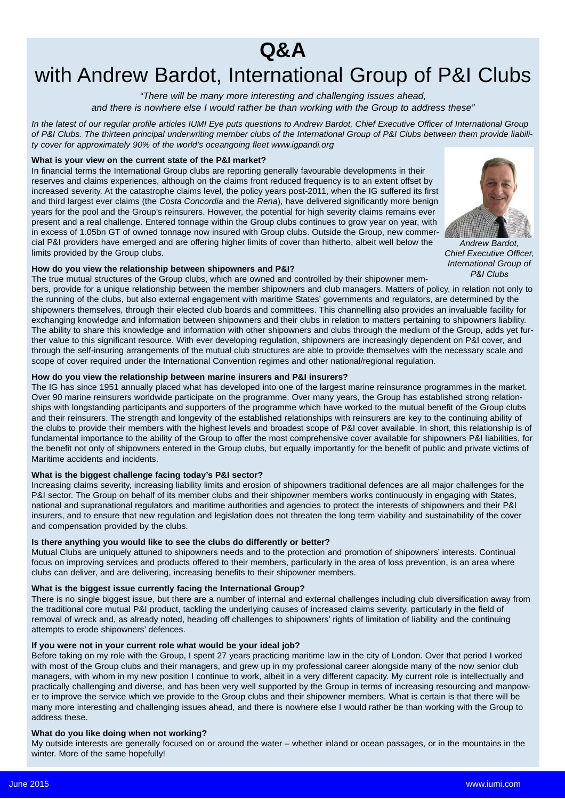### **Q&A**

## with Andrew Bardot, International Group of P&I Clubs

*"There will be many more interesting and challenging issues ahead, and there is nowhere else I would rather be than working with the Group to address these"*

*In the latest of our regular profile articles IUMI Eye puts questions to Andrew Bardot, Chief Executive Officer of International Group of P&I Clubs. The thirteen principal underwriting member clubs of the International Group of P&I Clubs between them provide liability cover for approximately 90% of the world's oceangoing fleet www.igpandi.org*

#### **What is your view on the current state of the P&I market?**

In financial terms the International Group clubs are reporting generally favourable developments in their reserves and claims experiences, although on the claims front reduced frequency is to an extent offset by increased severity. At the catastrophe claims level, the policy years post-2011, when the IG suffered its first and third largest ever claims (the *Costa Concordia* and the *Rena*), have delivered significantly more benign years for the pool and the Group's reinsurers. However, the potential for high severity claims remains ever present and a real challenge. Entered tonnage within the Group clubs continues to grow year on year, with in excess of 1.05bn GT of owned tonnage now insured with Group clubs. Outside the Group, new commercial P&I providers have emerged and are offering higher limits of cover than hitherto, albeit well below the limits provided by the Group clubs.



*Andrew Bardot, Chief Executive Officer, International Group of P&I Clubs*

#### **How do you view the relationship between shipowners and P&I?**

The true mutual structures of the Group clubs, which are owned and controlled by their shipowner mem-

bers, provide for a unique relationship between the member shipowners and club managers. Matters of policy, in relation not only to the running of the clubs, but also external engagement with maritime States' governments and regulators, are determined by the shipowners themselves, through their elected club boards and committees. This channelling also provides an invaluable facility for exchanging knowledge and information between shipowners and their clubs in relation to matters pertaining to shipowners liability. The ability to share this knowledge and information with other shipowners and clubs through the medium of the Group, adds yet further value to this significant resource. With ever developing regulation, shipowners are increasingly dependent on P&I cover, and through the self-insuring arrangements of the mutual club structures are able to provide themselves with the necessary scale and scope of cover required under the International Convention regimes and other national/regional regulation.

#### **How do you view the relationship between marine insurers and P&I insurers?**

The IG has since 1951 annually placed what has developed into one of the largest marine reinsurance programmes in the market. Over 90 marine reinsurers worldwide participate on the programme. Over many years, the Group has established strong relationships with longstanding participants and supporters of the programme which have worked to the mutual benefit of the Group clubs and their reinsurers. The strength and longevity of the established relationships with reinsurers are key to the continuing ability of the clubs to provide their members with the highest levels and broadest scope of P&I cover available. In short, this relationship is of fundamental importance to the ability of the Group to offer the most comprehensive cover available for shipowners P&I liabilities, for the benefit not only of shipowners entered in the Group clubs, but equally importantly for the benefit of public and private victims of Maritime accidents and incidents.

#### **What is the biggest challenge facing today's P&I sector?**

Increasing claims severity, increasing liability limits and erosion of shipowners traditional defences are all major challenges for the P&I sector. The Group on behalf of its member clubs and their shipowner members works continuously in engaging with States, national and supranational regulators and maritime authorities and agencies to protect the interests of shipowners and their P&I insurers, and to ensure that new regulation and legislation does not threaten the long term viability and sustainability of the cover and compensation provided by the clubs.

#### **Is there anything you would like to see the clubs do differently or better?**

Mutual Clubs are uniquely attuned to shipowners needs and to the protection and promotion of shipowners' interests. Continual focus on improving services and products offered to their members, particularly in the area of loss prevention, is an area where clubs can deliver, and are delivering, increasing benefits to their shipowner members.

#### **What is the biggest issue currently facing the International Group?**

There is no single biggest issue, but there are a number of internal and external challenges including club diversification away from the traditional core mutual P&I product, tackling the underlying causes of increased claims severity, particularly in the field of removal of wreck and, as already noted, heading off challenges to shipowners' rights of limitation of liability and the continuing attempts to erode shipowners' defences.

#### **If you were not in your current role what would be your ideal job?**

Before taking on my role with the Group, I spent 27 years practicing maritime law in the city of London. Over that period I worked with most of the Group clubs and their managers, and grew up in my professional career alongside many of the now senior club managers, with whom in my new position I continue to work, albeit in a very different capacity. My current role is intellectually and practically challenging and diverse, and has been very well supported by the Group in terms of increasing resourcing and manpower to improve the service which we provide to the Group clubs and their shipowner members. What is certain is that there will be many more interesting and challenging issues ahead, and there is nowhere else I would rather be than working with the Group to address these.

#### **What do you like doing when not working?**

My outside interests are generally focused on or around the water – whether inland or ocean passages, or in the mountains in the winter. More of the same hopefully!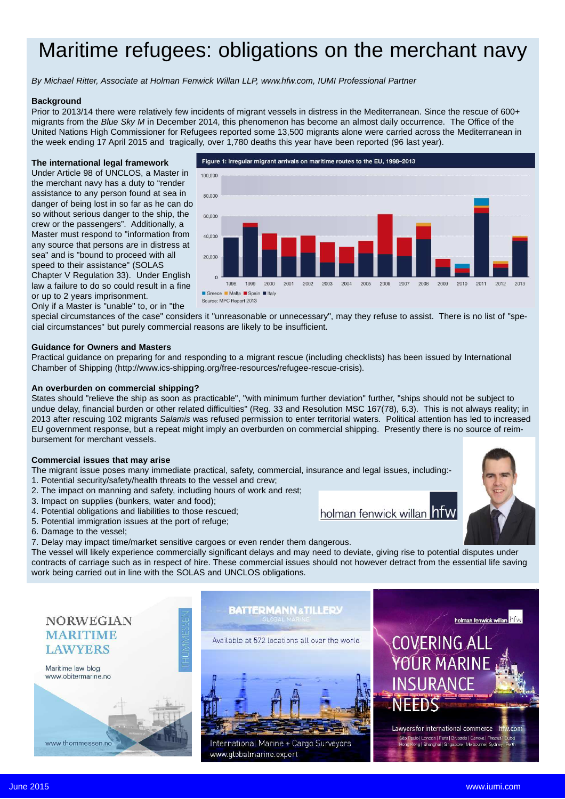## Maritime refugees: obligations on the merchant navy

*By Michael Ritter, Associate at Holman Fenwick Willan LLP, www.hfw.com, IUMI Professional Partner*

#### **Background**

Prior to 2013/14 there were relatively few incidents of migrant vessels in distress in the Mediterranean. Since the rescue of 600+ migrants from the *Blue Sky M* in December 2014, this phenomenon has become an almost daily occurrence. The Office of the United Nations High Commissioner for Refugees reported some 13,500 migrants alone were carried across the Mediterranean in the week ending 17 April 2015 and tragically, over 1,780 deaths this year have been reported (96 last year).

#### **The international legal framework**

Under Article 98 of UNCLOS, a Master in the merchant navy has a duty to "render assistance to any person found at sea in s0,000 danger of being lost in so far as he can do so without serious danger to the ship, the crew or the passengers". Additionally, a Master must respond to "information from any source that persons are in distress at sea" and is "bound to proceed with all speed to their assistance" (SOLAS Chapter V Regulation 33). Under English law a failure to do so could result in a fine



or up to 2 years imprisonment. Only if a Master is "unable" to, or in "the

special circumstances of the case" considers it "unreasonable or unnecessary", may they refuse to assist. There is no list of "special circumstances" but purely commercial reasons are likely to be insufficient.

#### **Guidance for Owners and Masters**

Practical guidance on preparing for and responding to a migrant rescue (including checklists) has been issued by International Chamber of Shipping (http://www.ics-shipping.org/free-resources/refugee-rescue-crisis).

#### **An overburden on commercial shipping?**

States should "relieve the ship as soon as practicable", "with minimum further deviation" further, "ships should not be subject to undue delay, financial burden or other related difficulties" (Reg. 33 and Resolution MSC 167(78), 6.3). This is not always reality; in 2013 after rescuing 102 migrants *Salamis* was refused permission to enter territorial waters. Political attention has led to increased EU government response, but a repeat might imply an overburden on commercial shipping. Presently there is no source of reimbursement for merchant vessels.

#### **Commercial issues that may arise**

The migrant issue poses many immediate practical, safety, commercial, insurance and legal issues, including:- 1. Potential security/safety/health threats to the vessel and crew;

- 2. The impact on manning and safety, including hours of work and rest;
- 3. Impact on supplies (bunkers, water and food);
- 4. Potential obligations and liabilities to those rescued;
- 5. Potential immigration issues at the port of refuge;
- 6. Damage to the vessel;
- 7. Delay may impact time/market sensitive cargoes or even render them dangerous.

The vessel will likely experience commercially significant delays and may need to deviate, giving rise to potential disputes under contracts of carriage such as in respect of hire. These commercial issues should not however detract from the essential life saving work being carried out in line with the SOLAS and UNCLOS obligations.

#### **NORWEGIAN MARITIME LAWYERS**



#### **BATTERMANN & TILLERY**

Available at 572 locations all over the world



International Marine + Cargo Surveyors www.globalmarine.expert



holman fenwick willan **holw** 

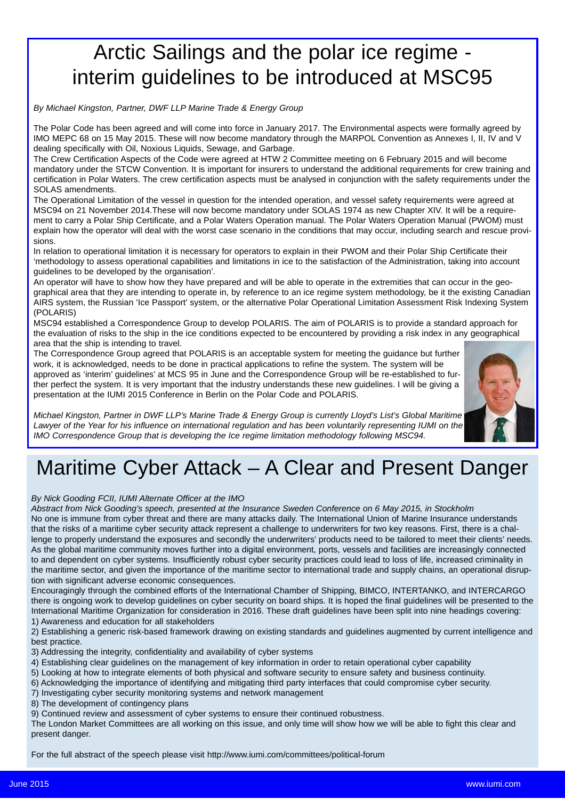## Arctic Sailings and the polar ice regime interim guidelines to be introduced at MSC95

*By Michael Kingston, Partner, DWF LLP Marine Trade & Energy Group*

The Polar Code has been agreed and will come into force in January 2017. The Environmental aspects were formally agreed by IMO MEPC 68 on 15 May 2015. These will now become mandatory through the MARPOL Convention as Annexes I, II, IV and V dealing specifically with Oil, Noxious Liquids, Sewage, and Garbage.

The Crew Certification Aspects of the Code were agreed at HTW 2 Committee meeting on 6 February 2015 and will become mandatory under the STCW Convention. It is important for insurers to understand the additional requirements for crew training and certification in Polar Waters. The crew certification aspects must be analysed in conjunction with the safety requirements under the SOLAS amendments.

The Operational Limitation of the vessel in question for the intended operation, and vessel safety requirements were agreed at MSC94 on 21 November 2014.These will now become mandatory under SOLAS 1974 as new Chapter XIV. It will be a requirement to carry a Polar Ship Certificate, and a Polar Waters Operation manual. The Polar Waters Operation Manual (PWOM) must explain how the operator will deal with the worst case scenario in the conditions that may occur, including search and rescue provisions.

In relation to operational limitation it is necessary for operators to explain in their PWOM and their Polar Ship Certificate their 'methodology to assess operational capabilities and limitations in ice to the satisfaction of the Administration, taking into account guidelines to be developed by the organisation'.

An operator will have to show how they have prepared and will be able to operate in the extremities that can occur in the geographical area that they are intending to operate in, by reference to an ice regime system methodology, be it the existing Canadian AIRS system, the Russian 'Ice Passport' system, or the alternative Polar Operational Limitation Assessment Risk Indexing System (POLARIS)

MSC94 established a Correspondence Group to develop POLARIS. The aim of POLARIS is to provide a standard approach for the evaluation of risks to the ship in the ice conditions expected to be encountered by providing a risk index in any geographical area that the ship is intending to travel.

The Correspondence Group agreed that POLARIS is an acceptable system for meeting the guidance but further work, it is acknowledged, needs to be done in practical applications to refine the system. The system will be approved as 'interim' guidelines' at MCS 95 in June and the Correspondence Group will be re-established to further perfect the system. It is very important that the industry understands these new guidelines. I will be giving a presentation at the IUMI 2015 Conference in Berlin on the Polar Code and POLARIS.



*Michael Kingston, Partner in DWF LLP's Marine Trade & Energy Group is currently Lloyd's List's Global Maritime Lawyer of the Year for his influence on international regulation and has been voluntarily representing IUMI on the IMO Correspondence Group that is developing the Ice regime limitation methodology following MSC94.*

# Maritime Cyber Attack – A Clear and Present Danger

*By Nick Gooding FCII, IUMI Alternate Officer at the IMO*

*Abstract from Nick Gooding's speech, presented at the Insurance Sweden Conference on 6 May 2015, in Stockholm* No one is immune from cyber threat and there are many attacks daily. The International Union of Marine Insurance understands that the risks of a maritime cyber security attack represent a challenge to underwriters for two key reasons. First, there is a challenge to properly understand the exposures and secondly the underwriters' products need to be tailored to meet their clients' needs. As the global maritime community moves further into a digital environment, ports, vessels and facilities are increasingly connected to and dependent on cyber systems. Insufficiently robust cyber security practices could lead to loss of life, increased criminality in the maritime sector, and given the importance of the maritime sector to international trade and supply chains, an operational disruption with significant adverse economic consequences.

Encouragingly through the combined efforts of the International Chamber of Shipping, BIMCO, INTERTANKO, and INTERCARGO there is ongoing work to develop guidelines on cyber security on board ships. It is hoped the final guidelines will be presented to the International Maritime Organization for consideration in 2016. These draft guidelines have been split into nine headings covering: 1) Awareness and education for all stakeholders

2) Establishing a generic risk-based framework drawing on existing standards and guidelines augmented by current intelligence and best practice.

3) Addressing the integrity, confidentiality and availability of cyber systems

- 4) Establishing clear guidelines on the management of key information in order to retain operational cyber capability
- 5) Looking at how to integrate elements of both physical and software security to ensure safety and business continuity.
- 6) Acknowledging the importance of identifying and mitigating third party interfaces that could compromise cyber security.
- 7) Investigating cyber security monitoring systems and network management

8) The development of contingency plans

9) Continued review and assessment of cyber systems to ensure their continued robustness.

The London Market Committees are all working on this issue, and only time will show how we will be able to fight this clear and present danger.

For the full abstract of the speech please visit http://www.iumi.com/committees/political-forum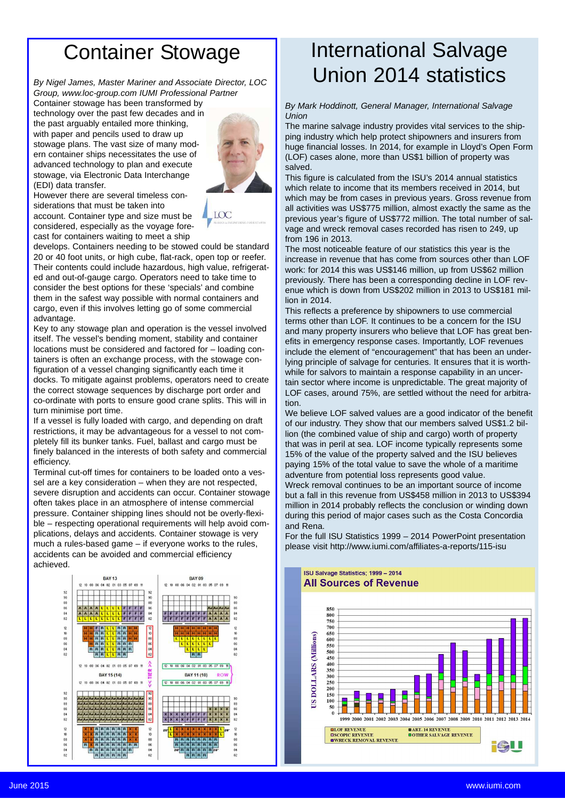## Container Stowage

*By Nigel James, Master Mariner and Associate Director, LOC Group, www.loc-group.com IUMI Professional Partner*

Container stowage has been transformed by technology over the past few decades and in the past arguably entailed more thinking, with paper and pencils used to draw up stowage plans. The vast size of many modern container ships necessitates the use of advanced technology to plan and execute stowage, via Electronic Data Interchange (EDI) data transfer.



However there are several timeless considerations that must be taken into account. Container type and size must be considered, especially as the voyage forecast for containers waiting to meet a ship



develops. Containers needing to be stowed could be standard 20 or 40 foot units, or high cube, flat-rack, open top or reefer. Their contents could include hazardous, high value, refrigerated and out-of-gauge cargo. Operators need to take time to consider the best options for these 'specials' and combine them in the safest way possible with normal containers and cargo, even if this involves letting go of some commercial advantage.

Key to any stowage plan and operation is the vessel involved itself. The vessel's bending moment, stability and container locations must be considered and factored for – loading containers is often an exchange process, with the stowage configuration of a vessel changing significantly each time it docks. To mitigate against problems, operators need to create the correct stowage sequences by discharge port order and co-ordinate with ports to ensure good crane splits. This will in turn minimise port time.

If a vessel is fully loaded with cargo, and depending on draft restrictions, it may be advantageous for a vessel to not completely fill its bunker tanks. Fuel, ballast and cargo must be finely balanced in the interests of both safety and commercial efficiency.

Terminal cut-off times for containers to be loaded onto a vessel are a key consideration – when they are not respected, severe disruption and accidents can occur. Container stowage often takes place in an atmosphere of intense commercial pressure. Container shipping lines should not be overly-flexible – respecting operational requirements will help avoid complications, delays and accidents. Container stowage is very much a rules-based game – if everyone works to the rules, accidents can be avoided and commercial efficiency achieved.



## International Salvage Union 2014 statistics

*By Mark Hoddinott, General Manager, International Salvage Union*

The marine salvage industry provides vital services to the shipping industry which help protect shipowners and insurers from huge financial losses. In 2014, for example in Lloyd's Open Form (LOF) cases alone, more than US\$1 billion of property was salved.

This figure is calculated from the ISU's 2014 annual statistics which relate to income that its members received in 2014, but which may be from cases in previous years. Gross revenue from all activities was US\$775 million, almost exactly the same as the previous year's figure of US\$772 million. The total number of salvage and wreck removal cases recorded has risen to 249, up from 196 in 2013.

The most noticeable feature of our statistics this year is the increase in revenue that has come from sources other than LOF work: for 2014 this was US\$146 million, up from US\$62 million previously. There has been a corresponding decline in LOF revenue which is down from US\$202 million in 2013 to US\$181 million in 2014.

This reflects a preference by shipowners to use commercial terms other than LOF. It continues to be a concern for the ISU and many property insurers who believe that LOF has great benefits in emergency response cases. Importantly, LOF revenues include the element of "encouragement" that has been an underlying principle of salvage for centuries. It ensures that it is worthwhile for salvors to maintain a response capability in an uncertain sector where income is unpredictable. The great majority of LOF cases, around 75%, are settled without the need for arbitration.

We believe LOF salved values are a good indicator of the benefit of our industry. They show that our members salved US\$1.2 billion (the combined value of ship and cargo) worth of property that was in peril at sea. LOF income typically represents some 15% of the value of the property salved and the ISU believes paying 15% of the total value to save the whole of a maritime adventure from potential loss represents good value. Wreck removal continues to be an important source of income but a fall in this revenue from US\$458 million in 2013 to US\$394 million in 2014 probably reflects the conclusion or winding down during this period of major cases such as the Costa Concordia and Rena.

For the full ISU Statistics 1999 – 2014 PowerPoint presentation please visit http://www.iumi.com/affiliates-a-reports/115-isu

ISU Salvage Statistics; 1999 - 2014

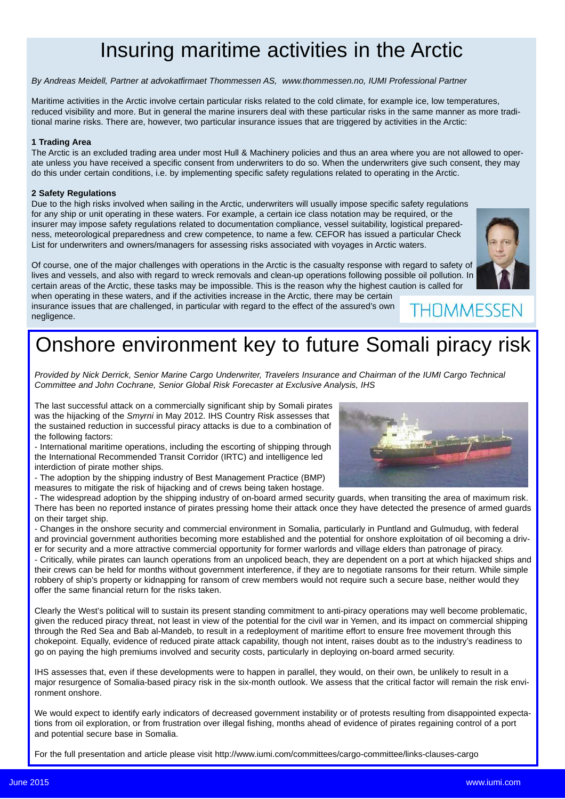## Insuring maritime activities in the Arctic

#### *By Andreas Meidell, Partner at advokatfirmaet Thommessen AS, www.thommessen.no, IUMI Professional Partner*

Maritime activities in the Arctic involve certain particular risks related to the cold climate, for example ice, low temperatures, reduced visibility and more. But in general the marine insurers deal with these particular risks in the same manner as more traditional marine risks. There are, however, two particular insurance issues that are triggered by activities in the Arctic:

#### **1 Trading Area**

The Arctic is an excluded trading area under most Hull & Machinery policies and thus an area where you are not allowed to operate unless you have received a specific consent from underwriters to do so. When the underwriters give such consent, they may do this under certain conditions, i.e. by implementing specific safety regulations related to operating in the Arctic.

#### **2 Safety Regulations**

Due to the high risks involved when sailing in the Arctic, underwriters will usually impose specific safety regulations for any ship or unit operating in these waters. For example, a certain ice class notation may be required, or the insurer may impose safety regulations related to documentation compliance, vessel suitability, logistical preparedness, meteorological preparedness and crew competence, to name a few. CEFOR has issued a particular Check List for underwriters and owners/managers for assessing risks associated with voyages in Arctic waters.

Of course, one of the major challenges with operations in the Arctic is the casualty response with regard to safety of lives and vessels, and also with regard to wreck removals and clean-up operations following possible oil pollution. In certain areas of the Arctic, these tasks may be impossible. This is the reason why the highest caution is called for when operating in these waters, and if the activities increase in the Arctic, there may be certain THNMMFSSEN

insurance issues that are challenged, in particular with regard to the effect of the assured's own negligence.

## Onshore environment key to future Somali piracy risk

*Provided by Nick Derrick, Senior Marine Cargo Underwriter, Travelers Insurance and Chairman of the IUMI Cargo Technical Committee and John Cochrane, Senior Global Risk Forecaster at Exclusive Analysis, IHS*

The last successful attack on a commercially significant ship by Somali pirates was the hijacking of the *Smyrni* in May 2012. IHS Country Risk assesses that the sustained reduction in successful piracy attacks is due to a combination of the following factors:

- International maritime operations, including the escorting of shipping through the International Recommended Transit Corridor (IRTC) and intelligence led interdiction of pirate mother ships.

- The adoption by the shipping industry of Best Management Practice (BMP) measures to mitigate the risk of hijacking and of crews being taken hostage.

- The widespread adoption by the shipping industry of on-board armed security guards, when transiting the area of maximum risk. There has been no reported instance of pirates pressing home their attack once they have detected the presence of armed guards on their target ship.

- Changes in the onshore security and commercial environment in Somalia, particularly in Puntland and Gulmudug, with federal and provincial government authorities becoming more established and the potential for onshore exploitation of oil becoming a driver for security and a more attractive commercial opportunity for former warlords and village elders than patronage of piracy. - Critically, while pirates can launch operations from an unpoliced beach, they are dependent on a port at which hijacked ships and their crews can be held for months without government interference, if they are to negotiate ransoms for their return. While simple robbery of ship's property or kidnapping for ransom of crew members would not require such a secure base, neither would they offer the same financial return for the risks taken.

Clearly the West's political will to sustain its present standing commitment to anti-piracy operations may well become problematic, given the reduced piracy threat, not least in view of the potential for the civil war in Yemen, and its impact on commercial shipping through the Red Sea and Bab al-Mandeb, to result in a redeployment of maritime effort to ensure free movement through this chokepoint. Equally, evidence of reduced pirate attack capability, though not intent, raises doubt as to the industry's readiness to go on paying the high premiums involved and security costs, particularly in deploying on-board armed security.

IHS assesses that, even if these developments were to happen in parallel, they would, on their own, be unlikely to result in a major resurgence of Somalia-based piracy risk in the six-month outlook. We assess that the critical factor will remain the risk environment onshore.

We would expect to identify early indicators of decreased government instability or of protests resulting from disappointed expectations from oil exploration, or from frustration over illegal fishing, months ahead of evidence of pirates regaining control of a port and potential secure base in Somalia.

For the full presentation and article please visit http://www.iumi.com/committees/cargo-committee/links-clauses-cargo

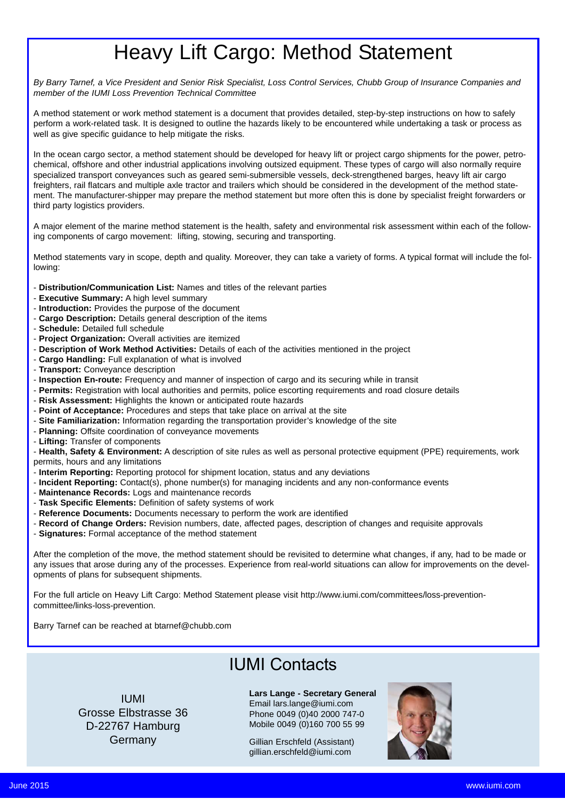## Heavy Lift Cargo: Method Statement

*By Barry Tarnef, a Vice President and Senior Risk Specialist, Loss Control Services, Chubb Group of Insurance Companies and member of the IUMI Loss Prevention Technical Committee*

A method statement or work method statement is a document that provides detailed, step-by-step instructions on how to safely perform a work-related task. It is designed to outline the hazards likely to be encountered while undertaking a task or process as well as give specific guidance to help mitigate the risks.

In the ocean cargo sector, a method statement should be developed for heavy lift or project cargo shipments for the power, petrochemical, offshore and other industrial applications involving outsized equipment. These types of cargo will also normally require specialized transport conveyances such as geared semi-submersible vessels, deck-strengthened barges, heavy lift air cargo freighters, rail flatcars and multiple axle tractor and trailers which should be considered in the development of the method statement. The manufacturer-shipper may prepare the method statement but more often this is done by specialist freight forwarders or third party logistics providers.

A major element of the marine method statement is the health, safety and environmental risk assessment within each of the following components of cargo movement: lifting, stowing, securing and transporting.

Method statements vary in scope, depth and quality. Moreover, they can take a variety of forms. A typical format will include the following:

- **Distribution/Communication List:** Names and titles of the relevant parties
- **Executive Summary:** A high level summary
- **Introduction:** Provides the purpose of the document
- **Cargo Description:** Details general description of the items
- **Schedule:** Detailed full schedule
- **Project Organization:** Overall activities are itemized
- **Description of Work Method Activities:** Details of each of the activities mentioned in the project
- **Cargo Handling:** Full explanation of what is involved
- **Transport:** Conveyance description
- **Inspection En-route:** Frequency and manner of inspection of cargo and its securing while in transit
- **Permits:** Registration with local authorities and permits, police escorting requirements and road closure details
- **Risk Assessment:** Highlights the known or anticipated route hazards
- **Point of Acceptance:** Procedures and steps that take place on arrival at the site
- **Site Familiarization:** Information regarding the transportation provider's knowledge of the site
- **Planning:** Offsite coordination of conveyance movements
- **Lifting:** Transfer of components

- **Health, Safety & Environment:** A description of site rules as well as personal protective equipment (PPE) requirements, work permits, hours and any limitations

- **Interim Reporting:** Reporting protocol for shipment location, status and any deviations
- **Incident Reporting:** Contact(s), phone number(s) for managing incidents and any non-conformance events
- **Maintenance Records:** Logs and maintenance records
- **Task Specific Elements:** Definition of safety systems of work
- **Reference Documents:** Documents necessary to perform the work are identified
- **Record of Change Orders:** Revision numbers, date, affected pages, description of changes and requisite approvals
- **Signatures:** Formal acceptance of the method statement

After the completion of the move, the method statement should be revisited to determine what changes, if any, had to be made or any issues that arose during any of the processes. Experience from real-world situations can allow for improvements on the developments of plans for subsequent shipments.

For the full article on Heavy Lift Cargo: Method Statement please visit http://www.iumi.com/committees/loss-preventioncommittee/links-loss-prevention.

Barry Tarnef can be reached at btarnef@chubb.com

### IUMI Contacts

IUMI Grosse Elbstrasse 36 D-22767 Hamburg Germany

**Lars Lange - Secretary General** Email lars.lange@iumi.com Phone 0049 (0)40 2000 747-0 Mobile 0049 (0)160 700 55 99

Gillian Erschfeld (Assistant) gillian.erschfeld@iumi.com